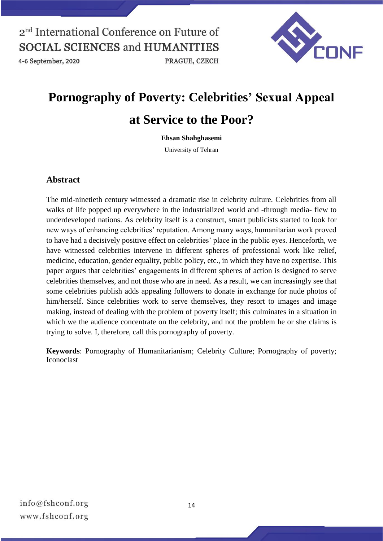4-6 September, 2020



# **Pornography of Poverty: Celebrities' Sexual Appeal at Service to the Poor?**

#### **Ehsan Shahghasemi**

University of Tehran

#### **Abstract**

The mid-ninetieth century witnessed a dramatic rise in celebrity culture. Celebrities from all walks of life popped up everywhere in the industrialized world and -through media- flew to underdeveloped nations. As celebrity itself is a construct, smart publicists started to look for new ways of enhancing celebrities' reputation. Among many ways, humanitarian work proved to have had a decisively positive effect on celebrities' place in the public eyes. Henceforth, we have witnessed celebrities intervene in different spheres of professional work like relief, medicine, education, gender equality, public policy, etc., in which they have no expertise. This paper argues that celebrities' engagements in different spheres of action is designed to serve celebrities themselves, and not those who are in need. As a result, we can increasingly see that some celebrities publish adds appealing followers to donate in exchange for nude photos of him/herself. Since celebrities work to serve themselves, they resort to images and image making, instead of dealing with the problem of poverty itself; this culminates in a situation in which we the audience concentrate on the celebrity, and not the problem he or she claims is trying to solve. I, therefore, call this pornography of poverty.

**Keywords**: Pornography of Humanitarianism; Celebrity Culture; Pornography of poverty; Iconoclast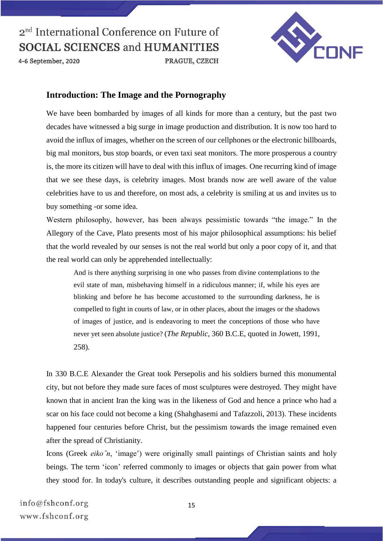

4-6 September, 2020

#### **Introduction: The Image and the Pornography**

We have been bombarded by images of all kinds for more than a century, but the past two decades have witnessed a big surge in image production and distribution. It is now too hard to avoid the influx of images, whether on the screen of our cellphones or the electronic billboards, big mal monitors, bus stop boards, or even taxi seat monitors. The more prosperous a country is, the more its citizen will have to deal with this influx of images. One recurring kind of image that we see these days, is celebrity images. Most brands now are well aware of the value celebrities have to us and therefore, on most ads, a celebrity is smiling at us and invites us to buy something -or some idea.

PRAGUE, CZECH

Western philosophy, however, has been always pessimistic towards "the image." In the Allegory of the Cave, Plato presents most of his major philosophical assumptions: his belief that the world revealed by our senses is not the real world but only a poor copy of it, and that the real world can only be apprehended intellectually:

And is there anything surprising in one who passes from divine contemplations to the evil state of man, misbehaving himself in a ridiculous manner; if, while his eyes are blinking and before he has become accustomed to the surrounding darkness, he is compelled to fight in courts of law, or in other places, about the images or the shadows of images of justice, and is endeavoring to meet the conceptions of those who have never yet seen absolute justice? (*The Republic*, 360 B.C.E, quoted in Jowett, 1991, 258).

In 330 B.C.E Alexander the Great took Persepolis and his soldiers burned this monumental city, but not before they made sure faces of most sculptures were destroyed. They might have known that in ancient Iran the king was in the likeness of God and hence a prince who had a scar on his face could not become a king (Shahghasemi and Tafazzoli, 2013). These incidents happened four centuries before Christ, but the pessimism towards the image remained even after the spread of Christianity.

Icons (Greek *eiko n*, 'image') were originally small paintings of Christian saints and holy beings. The term 'icon' referred commonly to images or objects that gain power from what they stood for. In today's culture, it describes outstanding people and significant objects: a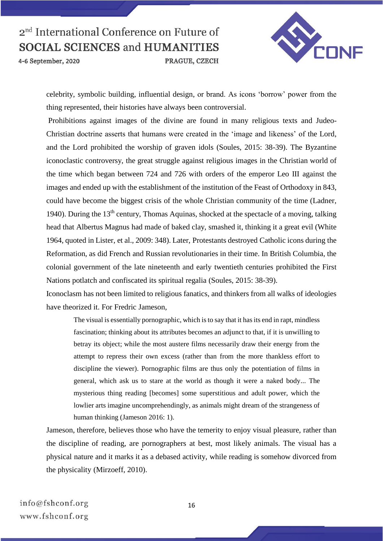4-6 September, 2020



celebrity, symbolic building, influential design, or brand. As icons 'borrow' power from the thing represented, their histories have always been controversial.

PRAGUE, CZECH

Prohibitions against images of the divine are found in many religious texts and Judeo-Christian doctrine asserts that humans were created in the 'image and likeness' of the Lord, and the Lord prohibited the worship of graven idols (Soules, 2015: 38-39). The Byzantine iconoclastic controversy, the great struggle against religious images in the Christian world of the time which began between 724 and 726 with orders of the emperor Leo III against the images and ended up with the establishment of the institution of the Feast of Orthodoxy in 843, could have become the biggest crisis of the whole Christian community of the time (Ladner, 1940). During the 13<sup>th</sup> century, Thomas Aquinas, shocked at the spectacle of a moving, talking head that Albertus Magnus had made of baked clay, smashed it, thinking it a great evil (White 1964, quoted in Lister, et al., 2009: 348). Later, Protestants destroyed Catholic icons during the Reformation, as did French and Russian revolutionaries in their time. In British Columbia, the colonial government of the late nineteenth and early twentieth centuries prohibited the First Nations potlatch and confiscated its spiritual regalia (Soules, 2015: 38-39).

Iconoclasm has not been limited to religious fanatics, and thinkers from all walks of ideologies have theorized it. For Fredric Jameson

The visual is essentially pornographic, which is to say that it has its end in rapt, mindless fascination; thinking about its attributes becomes an adjunct to that, if it is unwilling to betray its object; while the most austere films necessarily draw their energy from the attempt to repress their own excess (rather than from the more thankless effort to discipline the viewer). Pornographic films are thus only the potentiation of films in general, which ask us to stare at the world as though it were a naked body... The mysterious thing reading [becomes] some superstitious and adult power, which the lowlier arts imagine uncomprehendingly, as animals might dream of the strangeness of human thinking (Jameson 2016: 1).

Jameson, therefore, believes those who have the temerity to enjoy visual pleasure, rather than the discipline of reading, are pornographers at best, most likely animals. The visual has a physical nature and it marks it as a debased activity, while reading is somehow divorced from the physicality (Mirzoeff, 2010).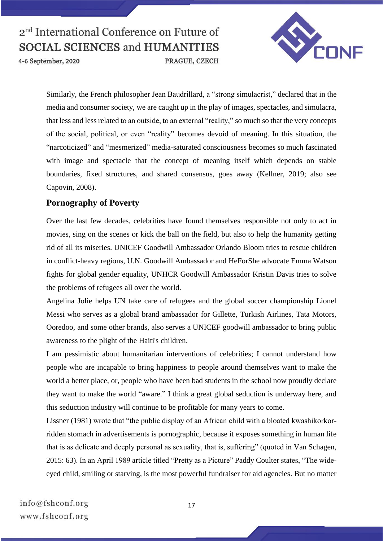

4-6 September, 2020

Similarly, the French philosopher Jean Baudrillard, a "strong simulacrist," declared that in the media and consumer society, we are caught up in the play of images, spectacles, and simulacra, that less and less related to an outside, to an external "reality," so much so that the very concepts of the social, political, or even "reality" becomes devoid of meaning. In this situation, the "narcoticized" and "mesmerized" media-saturated consciousness becomes so much fascinated with image and spectacle that the concept of meaning itself which depends on stable boundaries, fixed structures, and shared consensus, goes away (Kellner, 2019; also see Capovin, 2008).

PRAGUE, CZECH

### **Pornography of Poverty**

Over the last few decades, celebrities have found themselves responsible not only to act in movies, sing on the scenes or kick the ball on the field, but also to help the humanity getting rid of all its miseries. UNICEF Goodwill Ambassador Orlando Bloom tries to rescue children in conflict-heavy regions, U.N. Goodwill Ambassador and HeForShe advocate Emma Watson fights for global gender equality, UNHCR Goodwill Ambassador Kristin Davis tries to solve the problems of refugees all over the world.

Angelina Jolie helps UN take care of refugees and the global soccer championship Lionel Messi who serves as a global brand ambassador for Gillette, Turkish Airlines, Tata Motors, Ooredoo, and some other brands, also serves a UNICEF goodwill ambassador to bring public awareness to the plight of the Haiti's children.

I am pessimistic about humanitarian interventions of celebrities; I cannot understand how people who are incapable to bring happiness to people around themselves want to make the world a better place, or, people who have been bad students in the school now proudly declare they want to make the world "aware." I think a great global seduction is underway here, and this seduction industry will continue to be profitable for many years to come.

Lissner (1981) wrote that "the public display of an African child with a bloated kwashikorkorridden stomach in advertisements is pornographic, because it exposes something in human life that is as delicate and deeply personal as sexuality, that is, suffering" (quoted in Van Schagen, 2015: 63). In an April 1989 article titled "Pretty as a Picture" Paddy Coulter states, "The wideeyed child, smiling or starving, is the most powerful fundraiser for aid agencies. But no matter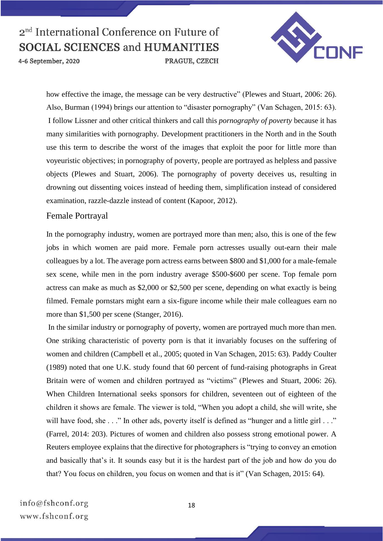4-6 September, 2020

PRAGUE, CZECH



how effective the image, the message can be very destructive" (Plewes and Stuart, 2006: 26). Also, Burman (1994) brings our attention to "disaster pornography" (Van Schagen, 2015: 63). I follow Lissner and other critical thinkers and call this *pornography of poverty* because it has many similarities with pornography. Development practitioners in the North and in the South use this term to describe the worst of the images that exploit the poor for little more than voyeuristic objectives; in pornography of poverty, people are portrayed as helpless and passive objects (Plewes and Stuart, 2006). The pornography of poverty deceives us, resulting in drowning out dissenting voices instead of heeding them, simplification instead of considered examination, razzle-dazzle instead of content (Kapoor, 2012).

#### Female Portrayal

In the pornography industry, women are portrayed more than men; also, this is one of the few jobs in which women are paid more. Female porn actresses usually out-earn their male colleagues by a lot. The average porn actress earns between \$800 and \$1,000 for a male-female sex scene, while men in the porn industry average \$500-\$600 per scene. Top female porn actress can make as much as \$2,000 or \$2,500 per scene, depending on what exactly is being filmed. Female pornstars might earn a six-figure income while their male colleagues earn no more than \$1,500 per scene (Stanger, 2016).

In the similar industry or pornography of poverty, women are portrayed much more than men. One striking characteristic of poverty porn is that it invariably focuses on the suffering of women and children (Campbell et al., 2005; quoted in Van Schagen, 2015: 63). Paddy Coulter (1989) noted that one U.K. study found that 60 percent of fund-raising photographs in Great Britain were of women and children portrayed as "victims" (Plewes and Stuart, 2006: 26). When Children International seeks sponsors for children, seventeen out of eighteen of the children it shows are female. The viewer is told, "When you adopt a child, she will write, she will have food, she . . ." In other ads, poverty itself is defined as "hunger and a little girl . . ." (Farrel, 2014: 203). Pictures of women and children also possess strong emotional power. A Reuters employee explains that the directive for photographers is "trying to convey an emotion and basically that's it. It sounds easy but it is the hardest part of the job and how do you do that? You focus on children, you focus on women and that is it" (Van Schagen, 2015: 64).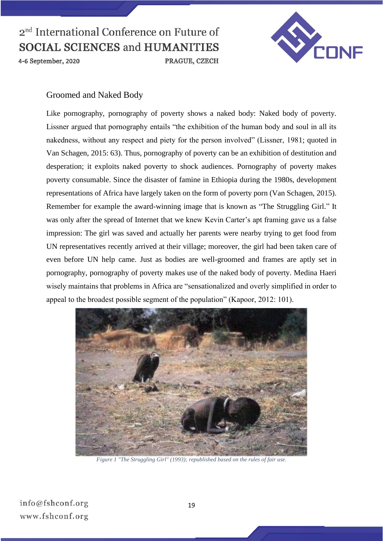

4-6 September, 2020



### Groomed and Naked Body

Like pornography, pornography of poverty shows a naked body: Naked body of poverty. Lissner argued that pornography entails "the exhibition of the human body and soul in all its nakedness, without any respect and piety for the person involved" (Lissner, 1981; quoted in Van Schagen, 2015: 63). Thus, pornography of poverty can be an exhibition of destitution and desperation; it exploits naked poverty to shock audiences. Pornography of poverty makes poverty consumable. Since the disaster of famine in Ethiopia during the 1980s, development representations of Africa have largely taken on the form of poverty porn (Van Schagen, 2015). Remember for example the award-winning image that is known as "The Struggling Girl." It was only after the spread of Internet that we knew Kevin Carter's apt framing gave us a false impression: The girl was saved and actually her parents were nearby trying to get food from UN representatives recently arrived at their village; moreover, the girl had been taken care of even before UN help came. Just as bodies are well-groomed and frames are aptly set in pornography, pornography of poverty makes use of the naked body of poverty. Medina Haeri wisely maintains that problems in Africa are "sensationalized and overly simplified in order to appeal to the broadest possible segment of the population" (Kapoor, 2012: 101).



*Figure 1 "The Struggling Girl" (1993); republished based on the rules of fair use.*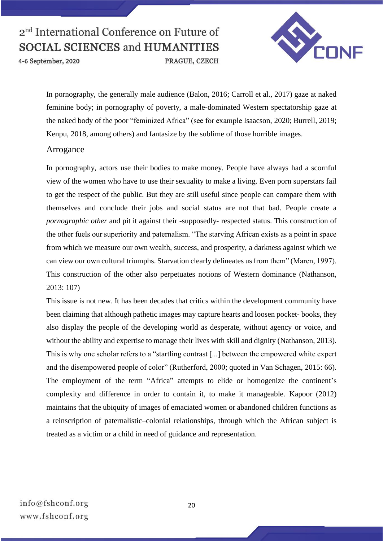4-6 September, 2020

CONF

In pornography, the generally male audience (Balon, 2016; Carroll et al., 2017) gaze at naked feminine body; in pornography of poverty, a male-dominated Western spectatorship gaze at the naked body of the poor "feminized Africa" (see for example Isaacson, 2020; Burrell, 2019; Kenpu, 2018, among others) and fantasize by the sublime of those horrible images.

PRAGUE, CZECH

#### Arrogance

In pornography, actors use their bodies to make money. People have always had a scornful view of the women who have to use their sexuality to make a living. Even porn superstars fail to get the respect of the public. But they are still useful since people can compare them with themselves and conclude their jobs and social status are not that bad. People create a *pornographic other* and pit it against their -supposedly- respected status. This construction of the other fuels our superiority and paternalism. "The starving African exists as a point in space from which we measure our own wealth, success, and prosperity, a darkness against which we can view our own cultural triumphs. Starvation clearly delineates us from them" (Maren, 1997). This construction of the other also perpetuates notions of Western dominance (Nathanson, 2013: 107)

This issue is not new. It has been decades that critics within the development community have been claiming that although pathetic images may capture hearts and loosen pocket- books, they also display the people of the developing world as desperate, without agency or voice, and without the ability and expertise to manage their lives with skill and dignity (Nathanson, 2013). This is why one scholar refers to a "startling contrast [...] between the empowered white expert and the disempowered people of color" (Rutherford, 2000; quoted in Van Schagen, 2015: 66). The employment of the term "Africa" attempts to elide or homogenize the continent's complexity and difference in order to contain it, to make it manageable. Kapoor (2012) maintains that the ubiquity of images of emaciated women or abandoned children functions as a reinscription of paternalistic–colonial relationships, through which the African subject is treated as a victim or a child in need of guidance and representation.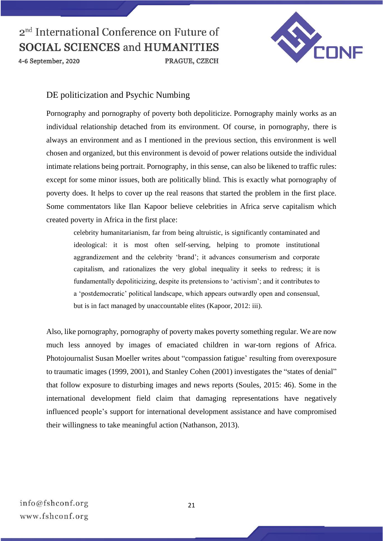

4-6 September, 2020

### DE politicization and Psychic Numbing

Pornography and pornography of poverty both depoliticize. Pornography mainly works as an individual relationship detached from its environment. Of course, in pornography, there is always an environment and as I mentioned in the previous section, this environment is well chosen and organized, but this environment is devoid of power relations outside the individual intimate relations being portrait. Pornography, in this sense, can also be likened to traffic rules: except for some minor issues, both are politically blind. This is exactly what pornography of poverty does. It helps to cover up the real reasons that started the problem in the first place. Some commentators like Ilan Kapoor believe celebrities in Africa serve capitalism which created poverty in Africa in the first place:

PRAGUE, CZECH

celebrity humanitarianism, far from being altruistic, is significantly contaminated and ideological: it is most often self-serving, helping to promote institutional aggrandizement and the celebrity 'brand'; it advances consumerism and corporate capitalism, and rationalizes the very global inequality it seeks to redress; it is fundamentally depoliticizing, despite its pretensions to 'activism'; and it contributes to a 'postdemocratic' political landscape, which appears outwardly open and consensual, but is in fact managed by unaccountable elites (Kapoor, 2012: iii).

Also, like pornography, pornography of poverty makes poverty something regular. We are now much less annoyed by images of emaciated children in war-torn regions of Africa. Photojournalist Susan Moeller writes about "compassion fatigue' resulting from overexposure to traumatic images (1999, 2001), and Stanley Cohen (2001) investigates the "states of denial" that follow exposure to disturbing images and news reports (Soules, 2015: 46). Some in the international development field claim that damaging representations have negatively influenced people's support for international development assistance and have compromised their willingness to take meaningful action (Nathanson, 2013).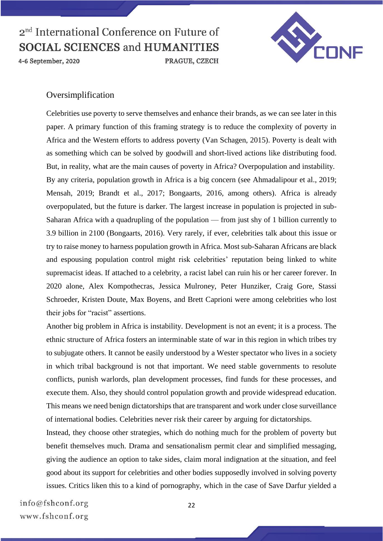4-6 September, 2020



### Oversimplification

Celebrities use poverty to serve themselves and enhance their brands, as we can see later in this paper. A primary function of this framing strategy is to reduce the complexity of poverty in Africa and the Western efforts to address poverty (Van Schagen, 2015). Poverty is dealt with as something which can be solved by goodwill and short-lived actions like distributing food. But, in reality, what are the main causes of poverty in Africa? Overpopulation and instability. By any criteria, population growth in Africa is a big concern (see Ahmadalipour et al., 2019; Mensah, 2019; Brandt et al., 2017; Bongaarts, 2016, among others). Africa is already overpopulated, but the future is darker. The largest increase in population is projected in sub-Saharan Africa with a quadrupling of the population — from just shy of 1 billion currently to 3.9 billion in 2100 (Bongaarts, 2016). Very rarely, if ever, celebrities talk about this issue or try to raise money to harness population growth in Africa. Most sub-Saharan Africans are black and espousing population control might risk celebrities' reputation being linked to white supremacist ideas. If attached to a celebrity, a racist label can ruin his or her career forever. In 2020 alone, Alex Kompothecras, Jessica Mulroney, Peter Hunziker, Craig Gore, Stassi Schroeder, Kristen Doute, Max Boyens, and Brett Caprioni were among celebrities who lost their jobs for "racist" assertions.

PRAGUE, CZECH

Another big problem in Africa is instability. Development is not an event; it is a process. The ethnic structure of Africa fosters an interminable state of war in this region in which tribes try to subjugate others. It cannot be easily understood by a Wester spectator who lives in a society in which tribal background is not that important. We need stable governments to resolute conflicts, punish warlords, plan development processes, find funds for these processes, and execute them. Also, they should control population growth and provide widespread education. This means we need benign dictatorships that are transparent and work under close surveillance of international bodies. Celebrities never risk their career by arguing for dictatorships.

Instead, they choose other strategies, which do nothing much for the problem of poverty but benefit themselves much. Drama and sensationalism permit clear and simplified messaging, giving the audience an option to take sides, claim moral indignation at the situation, and feel good about its support for celebrities and other bodies supposedly involved in solving poverty issues. Critics liken this to a kind of pornography, which in the case of Save Darfur yielded a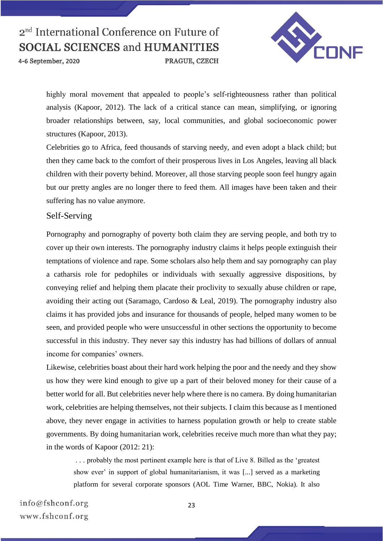4-6 September, 2020

PRAGUE, CZECH



highly moral movement that appealed to people's self-righteousness rather than political analysis (Kapoor, 2012). The lack of a critical stance can mean, simplifying, or ignoring broader relationships between, say, local communities, and global socioeconomic power structures (Kapoor, 2013).

Celebrities go to Africa, feed thousands of starving needy, and even adopt a black child; but then they came back to the comfort of their prosperous lives in Los Angeles, leaving all black children with their poverty behind. Moreover, all those starving people soon feel hungry again but our pretty angles are no longer there to feed them. All images have been taken and their suffering has no value anymore.

#### Self-Serving

Pornography and pornography of poverty both claim they are serving people, and both try to cover up their own interests. The pornography industry claims it helps people extinguish their temptations of violence and rape. Some scholars also help them and say pornography can play a catharsis role for pedophiles or individuals with sexually aggressive dispositions, by conveying relief and helping them placate their proclivity to sexually abuse children or rape, avoiding their acting out (Saramago, Cardoso & Leal, 2019). The pornography industry also claims it has provided jobs and insurance for thousands of people, helped many women to be seen, and provided people who were unsuccessful in other sections the opportunity to become successful in this industry. They never say this industry has had billions of dollars of annual income for companies' owners.

Likewise, celebrities boast about their hard work helping the poor and the needy and they show us how they were kind enough to give up a part of their beloved money for their cause of a better world for all. But celebrities never help where there is no camera. By doing humanitarian work, celebrities are helping themselves, not their subjects. I claim this because as I mentioned above, they never engage in activities to harness population growth or help to create stable governments. By doing humanitarian work, celebrities receive much more than what they pay; in the words of Kapoor (2012: 21):

. . . probably the most pertinent example here is that of Live 8. Billed as the 'greatest show ever' in support of global humanitarianism, it was [...] served as a marketing platform for several corporate sponsors (AOL Time Warner, BBC, Nokia). It also

 $info@fshconf.org$ www.fshconf.org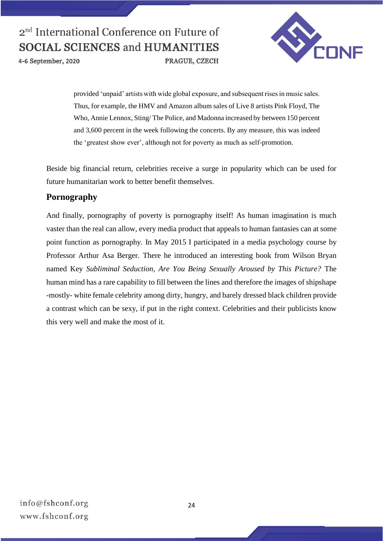4-6 September, 2020



provided 'unpaid' artists with wide global exposure, and subsequent rises in music sales. Thus, for example, the HMV and Amazon album sales of Live 8 artists Pink Floyd, The Who, Annie Lennox, Sting/ The Police, and Madonna increased by between 150 percent and 3,600 percent in the week following the concerts. By any measure, this was indeed the 'greatest show ever', although not for poverty as much as self-promotion.

PRAGUE, CZECH

Beside big financial return, celebrities receive a surge in popularity which can be used for future humanitarian work to better benefit themselves.

### **Pornography**

And finally, pornography of poverty is pornography itself! As human imagination is much vaster than the real can allow, every media product that appeals to human fantasies can at some point function as pornography. In May 2015 I participated in a media psychology course by Professor Arthur Asa Berger. There he introduced an interesting book from Wilson Bryan named Key *Subliminal Seduction, Are You Being Sexually Aroused by This Picture?* The human mind has a rare capability to fill between the lines and therefore the images of shipshape -mostly- white female celebrity among dirty, hungry, and barely dressed black children provide a contrast which can be sexy, if put in the right context. Celebrities and their publicists know this very well and make the most of it.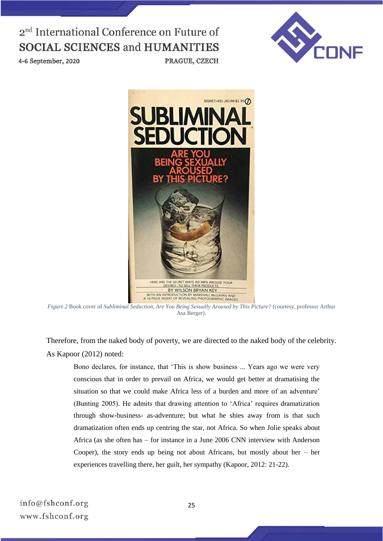

4-6 September, 2020



PRAGUE, CZECH

*Figure 2* Book cover of *Subliminal Seduction, Are You Being Sexually Aroused by This Picture?* (courtesy, professor Arthur Asa Berger).

Therefore, from the naked body of poverty, we are directed to the naked body of the celebrity. As Kapoor (2012) noted:

Bono declares, for instance, that 'This is show business ... Years ago we were very conscious that in order to prevail on Africa, we would get better at dramatising the situation so that we could make Africa less of a burden and more of an adventure' (Bunting 2005). He admits that drawing attention to 'Africa' requires dramatization through show-business- as-adventure; but what he shies away from is that such dramatization often ends up centring the star, not Africa. So when Jolie speaks about Africa (as she often has – for instance in a June 2006 CNN interview with Anderson Cooper), the story ends up being not about Africans, but mostly about her – her experiences travelling there, her guilt, her sympathy (Kapoor, 2012: 21-22).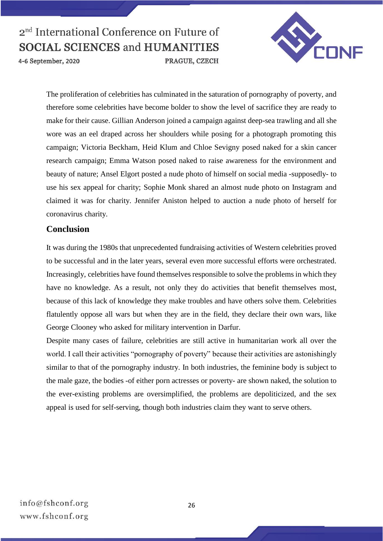

4-6 September, 2020

The proliferation of celebrities has culminated in the saturation of pornography of poverty, and therefore some celebrities have become bolder to show the level of sacrifice they are ready to make for their cause. Gillian Anderson joined a campaign against deep-sea trawling and all she wore was an eel draped across her shoulders while posing for a photograph promoting this campaign; Victoria Beckham, Heid Klum and Chloe Sevigny posed naked for a skin cancer research campaign; Emma Watson posed naked to raise awareness for the environment and beauty of nature; Ansel Elgort posted a nude photo of himself on social media -supposedly- to use his sex appeal for charity; Sophie Monk shared an almost nude photo on Instagram and claimed it was for charity. Jennifer Aniston helped to auction a nude photo of herself for coronavirus charity.

PRAGUE, CZECH

#### **Conclusion**

It was during the 1980s that unprecedented fundraising activities of Western celebrities proved to be successful and in the later years, several even more successful efforts were orchestrated. Increasingly, celebrities have found themselves responsible to solve the problems in which they have no knowledge. As a result, not only they do activities that benefit themselves most, because of this lack of knowledge they make troubles and have others solve them. Celebrities flatulently oppose all wars but when they are in the field, they declare their own wars, like George Clooney who asked for military intervention in Darfur.

Despite many cases of failure, celebrities are still active in humanitarian work all over the world. I call their activities "pornography of poverty" because their activities are astonishingly similar to that of the pornography industry. In both industries, the feminine body is subject to the male gaze, the bodies -of either porn actresses or poverty- are shown naked, the solution to the ever-existing problems are oversimplified, the problems are depoliticized, and the sex appeal is used for self-serving, though both industries claim they want to serve others.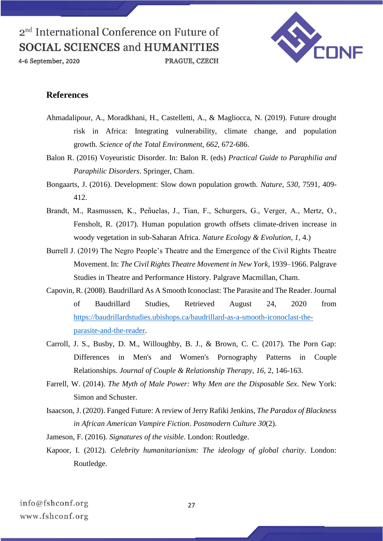4-6 September, 2020



#### **References**

Ahmadalipour, A., Moradkhani, H., Castelletti, A., & Magliocca, N. (2019). Future drought risk in Africa: Integrating vulnerability, climate change, and population growth. *Science of the Total Environment, 662,* 672-686.

PRAGUE, CZECH

- Balon R. (2016) Voyeuristic Disorder. In: Balon R. (eds) *Practical Guide to Paraphilia and Paraphilic Disorders*. Springer, Cham.
- Bongaarts, J. (2016). Development: Slow down population growth. *Nature, 530,* 7591, 409- 412.
- Brandt, M., Rasmussen, K., Peñuelas, J., Tian, F., Schurgers, G., Verger, A., Mertz, O., Fensholt, R. (2017). Human population growth offsets climate-driven increase in woody vegetation in sub-Saharan Africa. *Nature Ecology & Evolution, 1,* 4.)
- Burrell J. (2019) The Negro People's Theatre and the Emergence of the Civil Rights Theatre Movement. In: *The Civil Rights Theatre Movement in New York*, 1939–1966. Palgrave Studies in Theatre and Performance History. Palgrave Macmillan, Cham.
- Capovin, R. (2008). Baudrillard As A Smooth Iconoclast: The Parasite and The Reader. Journal of Baudrillard Studies, Retrieved August 24, 2020 from [https://baudrillardstudies.ubishops.ca/baudrillard-as-a-smooth-iconoclast-the](https://baudrillardstudies.ubishops.ca/baudrillard-as-a-smooth-iconoclast-the-parasite-and-the-reader)[parasite-and-the-reader.](https://baudrillardstudies.ubishops.ca/baudrillard-as-a-smooth-iconoclast-the-parasite-and-the-reader)
- Carroll, J. S., Busby, D. M., Willoughby, B. J., & Brown, C. C. (2017). The Porn Gap: Differences in Men's and Women's Pornography Patterns in Couple Relationships. *Journal of Couple & Relationship Therapy, 16,* 2, 146-163.
- Farrell, W. (2014). *The Myth of Male Power: Why Men are the Disposable Sex*. New York: Simon and Schuster.
- Isaacson, J. (2020). Fanged Future: A review of Jerry Rafiki Jenkins, *The Paradox of Blackness in African American Vampire Fiction*. *Postmodern Culture 30*(2).
- Jameson, F. (2016). *Signatures of the visible*. London: Routledge.
- Kapoor, I. (2012). *Celebrity humanitarianism: The ideology of global charity*. London: Routledge.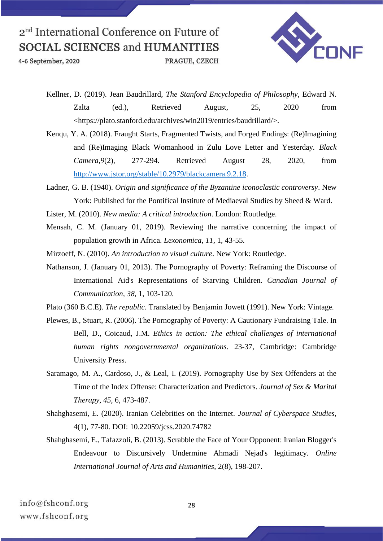4-6 September, 2020

PRAGUE, CZECH



Kellner, D. (2019). Jean Baudrillard, *The Stanford Encyclopedia of Philosophy*, Edward N. Zalta (ed.), Retrieved August, 25, 2020 from <https://plato.stanford.edu/archives/win2019/entries/baudrillard/>.

Kenqu, Y. A. (2018). Fraught Starts, Fragmented Twists, and Forged Endings: (Re)Imagining and (Re)Imaging Black Womanhood in Zulu Love Letter and Yesterday. *Black Camera,9*(2), 277-294. Retrieved August 28, 2020, from [http://www.jstor.org/stable/10.2979/blackcamera.9.2.18.](http://www.jstor.org/stable/10.2979/blackcamera.9.2.18)

Ladner, G. B. (1940). *Origin and significance of the Byzantine iconoclastic controversy*. New York: Published for the Pontifical Institute of Mediaeval Studies by Sheed & Ward.

Lister, M. (2010). *New media: A critical introduction*. London: Routledge.

- Mensah, C. M. (January 01, 2019). Reviewing the narrative concerning the impact of population growth in Africa. *Lexonomica, 11,* 1, 43-55.
- Mirzoeff, N. (2010). *An introduction to visual culture*. New York: Routledge.
- Nathanson, J. (January 01, 2013). The Pornography of Poverty: Reframing the Discourse of International Aid's Representations of Starving Children. *Canadian Journal of Communication, 38,* 1, 103-120.
- Plato (360 B.C.E). *The republic*. Translated by Benjamin Jowett (1991). New York: Vintage.
- Plewes, B., Stuart, R. (2006). The Pornography of Poverty: A Cautionary Fundraising Tale. In Bell, D., Coicaud, J.M. *Ethics in action: The ethical challenges of international human rights nongovernmental organizations*. 23-37, Cambridge: Cambridge University Press.
- Saramago, M. A., Cardoso, J., & Leal, I. (2019). Pornography Use by Sex Offenders at the Time of the Index Offense: Characterization and Predictors. *Journal of Sex & Marital Therapy, 45,* 6, 473-487.
- Shahghasemi, E. (2020). Iranian Celebrities on the Internet. *Journal of Cyberspace Studies*, 4(1), 77-80. DOI: 10.22059/jcss.2020.74782
- Shahghasemi, E., Tafazzoli, B. (2013). Scrabble the Face of Your Opponent: Iranian Blogger's Endeavour to Discursively Undermine Ahmadi Nejad's legitimacy. *Online International Journal of Arts and Humanities*, 2(8), 198-207.